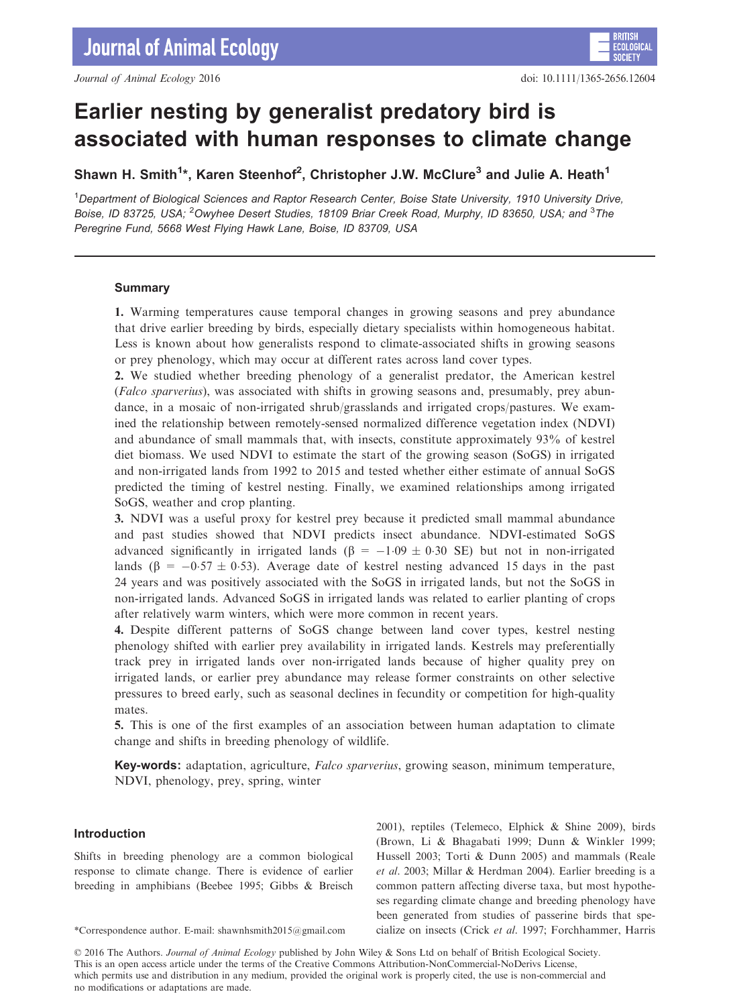# Earlier nesting by generalist predatory bird is associated with human responses to climate change

Shawn H. Smith<sup>1\*</sup>, Karen Steenhof<sup>2</sup>, Christopher J.W. McClure<sup>3</sup> and Julie A. Heath<sup>1</sup>

<sup>1</sup>Department of Biological Sciences and Raptor Research Center, Boise State University, 1910 University Drive, Boise, ID 83725, USA; <sup>2</sup>Owyhee Desert Studies, 18109 Briar Creek Road, Murphy, ID 83650, USA; and <sup>3</sup>The Peregrine Fund, 5668 West Flying Hawk Lane, Boise, ID 83709, USA

# Summary

1. Warming temperatures cause temporal changes in growing seasons and prey abundance that drive earlier breeding by birds, especially dietary specialists within homogeneous habitat. Less is known about how generalists respond to climate-associated shifts in growing seasons or prey phenology, which may occur at different rates across land cover types.

2. We studied whether breeding phenology of a generalist predator, the American kestrel (Falco sparverius), was associated with shifts in growing seasons and, presumably, prey abundance, in a mosaic of non-irrigated shrub/grasslands and irrigated crops/pastures. We examined the relationship between remotely-sensed normalized difference vegetation index (NDVI) and abundance of small mammals that, with insects, constitute approximately 93% of kestrel diet biomass. We used NDVI to estimate the start of the growing season (SoGS) in irrigated and non-irrigated lands from 1992 to 2015 and tested whether either estimate of annual SoGS predicted the timing of kestrel nesting. Finally, we examined relationships among irrigated SoGS, weather and crop planting.

3. NDVI was a useful proxy for kestrel prey because it predicted small mammal abundance and past studies showed that NDVI predicts insect abundance. NDVI-estimated SoGS advanced significantly in irrigated lands ( $\beta = -1.09 \pm 0.30$  SE) but not in non-irrigated lands ( $\beta = -0.57 \pm 0.53$ ). Average date of kestrel nesting advanced 15 days in the past 24 years and was positively associated with the SoGS in irrigated lands, but not the SoGS in non-irrigated lands. Advanced SoGS in irrigated lands was related to earlier planting of crops after relatively warm winters, which were more common in recent years.

4. Despite different patterns of SoGS change between land cover types, kestrel nesting phenology shifted with earlier prey availability in irrigated lands. Kestrels may preferentially track prey in irrigated lands over non-irrigated lands because of higher quality prey on irrigated lands, or earlier prey abundance may release former constraints on other selective pressures to breed early, such as seasonal declines in fecundity or competition for high-quality mates.

5. This is one of the first examples of an association between human adaptation to climate change and shifts in breeding phenology of wildlife.

Key-words: adaptation, agriculture, Falco sparverius, growing season, minimum temperature, NDVI, phenology, prey, spring, winter

# Introduction

Shifts in breeding phenology are a common biological response to climate change. There is evidence of earlier breeding in amphibians (Beebee 1995; Gibbs & Breisch

2001), reptiles (Telemeco, Elphick & Shine 2009), birds (Brown, Li & Bhagabati 1999; Dunn & Winkler 1999; Hussell 2003; Torti & Dunn 2005) and mammals (Reale et al. 2003; Millar & Herdman 2004). Earlier breeding is a common pattern affecting diverse taxa, but most hypotheses regarding climate change and breeding phenology have been generated from studies of passerine birds that spe- \*Correspondence author. E-mail: shawnhsmith2015@gmail.com cialize on insects (Crick et al. 1997; Forchhammer, Harris

© 2016 The Authors. Journal of Animal Ecology published by John Wiley & Sons Ltd on behalf of British Ecological Society. This is an open access article under the terms of the [Creative Commons Attribution-NonCommercial-NoDerivs](http://creativecommons.org/licenses/by-nc-nd/4.0/) License, which permits use and distribution in any medium, provided the original work is properly cited, the use is non-commercial and no modifications or adaptations are made.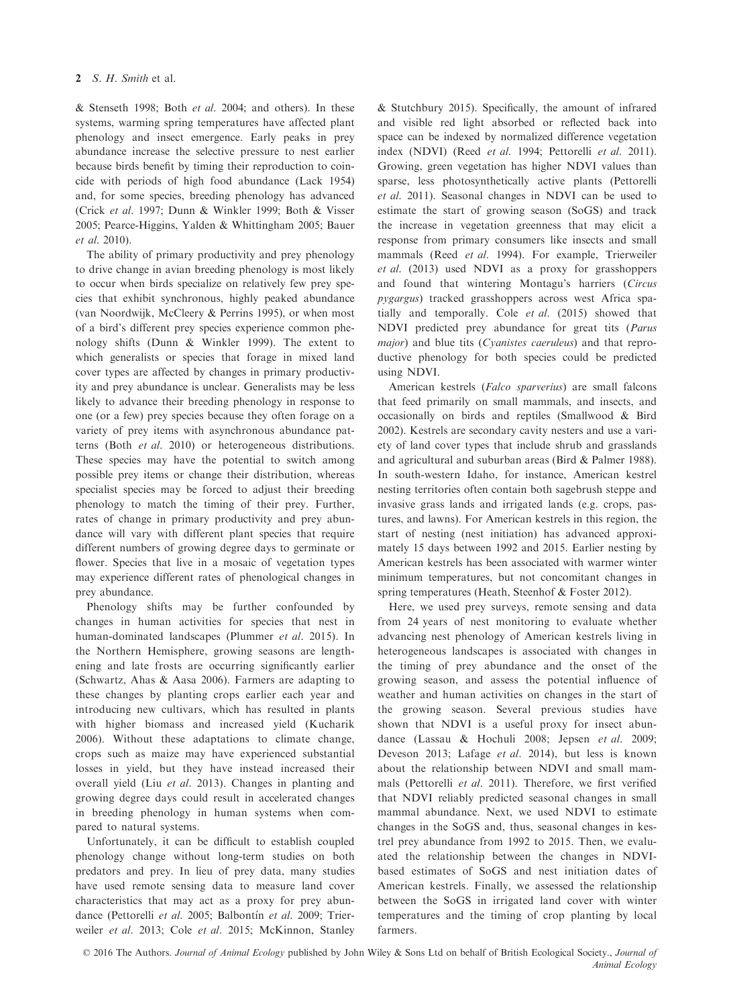& Stenseth 1998; Both et al. 2004; and others). In these systems, warming spring temperatures have affected plant phenology and insect emergence. Early peaks in prey abundance increase the selective pressure to nest earlier because birds benefit by timing their reproduction to coincide with periods of high food abundance (Lack 1954) and, for some species, breeding phenology has advanced (Crick et al. 1997; Dunn & Winkler 1999; Both & Visser 2005; Pearce-Higgins, Yalden & Whittingham 2005; Bauer et al. 2010).

The ability of primary productivity and prey phenology to drive change in avian breeding phenology is most likely to occur when birds specialize on relatively few prey species that exhibit synchronous, highly peaked abundance (van Noordwijk, McCleery & Perrins 1995), or when most of a bird's different prey species experience common phenology shifts (Dunn & Winkler 1999). The extent to which generalists or species that forage in mixed land cover types are affected by changes in primary productivity and prey abundance is unclear. Generalists may be less likely to advance their breeding phenology in response to one (or a few) prey species because they often forage on a variety of prey items with asynchronous abundance patterns (Both et al. 2010) or heterogeneous distributions. These species may have the potential to switch among possible prey items or change their distribution, whereas specialist species may be forced to adjust their breeding phenology to match the timing of their prey. Further, rates of change in primary productivity and prey abundance will vary with different plant species that require different numbers of growing degree days to germinate or flower. Species that live in a mosaic of vegetation types may experience different rates of phenological changes in prey abundance.

Phenology shifts may be further confounded by changes in human activities for species that nest in human-dominated landscapes (Plummer et al. 2015). In the Northern Hemisphere, growing seasons are lengthening and late frosts are occurring significantly earlier (Schwartz, Ahas & Aasa 2006). Farmers are adapting to these changes by planting crops earlier each year and introducing new cultivars, which has resulted in plants with higher biomass and increased yield (Kucharik 2006). Without these adaptations to climate change, crops such as maize may have experienced substantial losses in yield, but they have instead increased their overall yield (Liu et al. 2013). Changes in planting and growing degree days could result in accelerated changes in breeding phenology in human systems when compared to natural systems.

Unfortunately, it can be difficult to establish coupled phenology change without long-term studies on both predators and prey. In lieu of prey data, many studies have used remote sensing data to measure land cover characteristics that may act as a proxy for prey abundance (Pettorelli et al. 2005; Balbontín et al. 2009; Trierweiler et al. 2013; Cole et al. 2015; McKinnon, Stanley

& Stutchbury 2015). Specifically, the amount of infrared and visible red light absorbed or reflected back into space can be indexed by normalized difference vegetation index (NDVI) (Reed et al. 1994; Pettorelli et al. 2011). Growing, green vegetation has higher NDVI values than sparse, less photosynthetically active plants (Pettorelli et al. 2011). Seasonal changes in NDVI can be used to estimate the start of growing season (SoGS) and track the increase in vegetation greenness that may elicit a response from primary consumers like insects and small mammals (Reed et al. 1994). For example, Trierweiler et al. (2013) used NDVI as a proxy for grasshoppers and found that wintering Montagu's harriers (Circus pygargus) tracked grasshoppers across west Africa spatially and temporally. Cole et al. (2015) showed that NDVI predicted prey abundance for great tits (Parus major) and blue tits (*Cyanistes caeruleus*) and that reproductive phenology for both species could be predicted using NDVI.

American kestrels (Falco sparverius) are small falcons that feed primarily on small mammals, and insects, and occasionally on birds and reptiles (Smallwood & Bird 2002). Kestrels are secondary cavity nesters and use a variety of land cover types that include shrub and grasslands and agricultural and suburban areas (Bird & Palmer 1988). In south-western Idaho, for instance, American kestrel nesting territories often contain both sagebrush steppe and invasive grass lands and irrigated lands (e.g. crops, pastures, and lawns). For American kestrels in this region, the start of nesting (nest initiation) has advanced approximately 15 days between 1992 and 2015. Earlier nesting by American kestrels has been associated with warmer winter minimum temperatures, but not concomitant changes in spring temperatures (Heath, Steenhof & Foster 2012).

Here, we used prey surveys, remote sensing and data from 24 years of nest monitoring to evaluate whether advancing nest phenology of American kestrels living in heterogeneous landscapes is associated with changes in the timing of prey abundance and the onset of the growing season, and assess the potential influence of weather and human activities on changes in the start of the growing season. Several previous studies have shown that NDVI is a useful proxy for insect abundance (Lassau & Hochuli 2008; Jepsen et al. 2009; Deveson 2013; Lafage et al. 2014), but less is known about the relationship between NDVI and small mammals (Pettorelli et al. 2011). Therefore, we first verified that NDVI reliably predicted seasonal changes in small mammal abundance. Next, we used NDVI to estimate changes in the SoGS and, thus, seasonal changes in kestrel prey abundance from 1992 to 2015. Then, we evaluated the relationship between the changes in NDVIbased estimates of SoGS and nest initiation dates of American kestrels. Finally, we assessed the relationship between the SoGS in irrigated land cover with winter temperatures and the timing of crop planting by local farmers.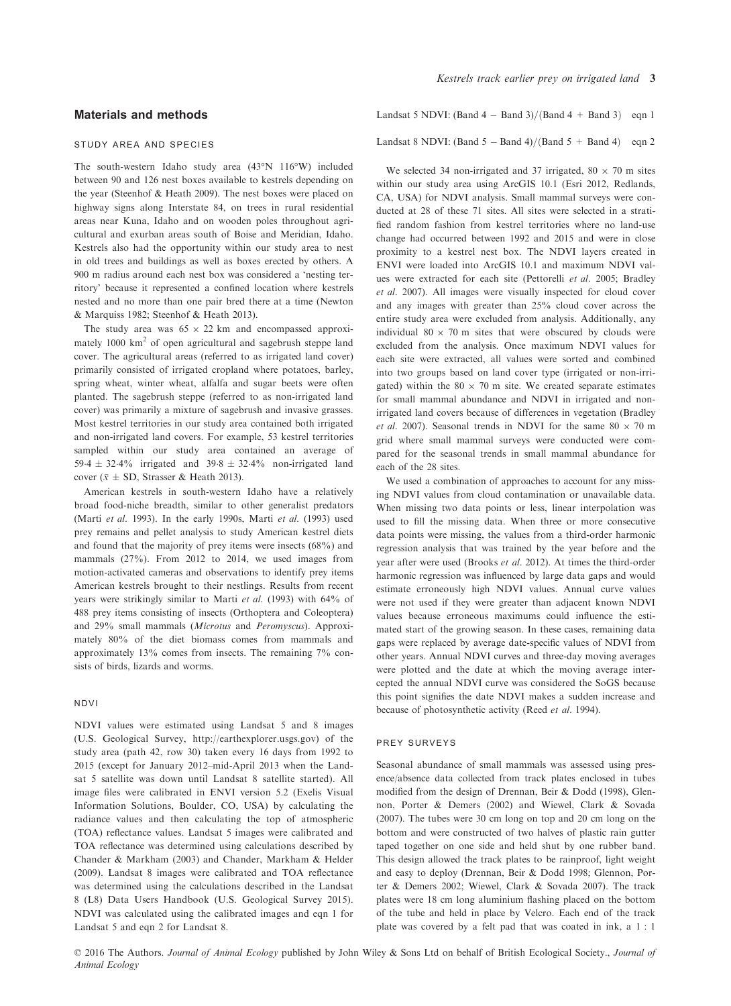# Materials and methods

#### study area and species

The south-western Idaho study area (43°N 116°W) included between 90 and 126 nest boxes available to kestrels depending on the year (Steenhof & Heath 2009). The nest boxes were placed on highway signs along Interstate 84, on trees in rural residential areas near Kuna, Idaho and on wooden poles throughout agricultural and exurban areas south of Boise and Meridian, Idaho. Kestrels also had the opportunity within our study area to nest in old trees and buildings as well as boxes erected by others. A 900 m radius around each nest box was considered a 'nesting territory' because it represented a confined location where kestrels nested and no more than one pair bred there at a time (Newton & Marquiss 1982; Steenhof & Heath 2013).

The study area was  $65 \times 22$  km and encompassed approximately  $1000 \text{ km}^2$  of open agricultural and sagebrush steppe land cover. The agricultural areas (referred to as irrigated land cover) primarily consisted of irrigated cropland where potatoes, barley, spring wheat, winter wheat, alfalfa and sugar beets were often planted. The sagebrush steppe (referred to as non-irrigated land cover) was primarily a mixture of sagebrush and invasive grasses. Most kestrel territories in our study area contained both irrigated and non-irrigated land covers. For example, 53 kestrel territories sampled within our study area contained an average of 59.4  $\pm$  32.4% irrigated and 39.8  $\pm$  32.4% non-irrigated land cover ( $\bar{x} \pm SD$ , Strasser & Heath 2013).

American kestrels in south-western Idaho have a relatively broad food-niche breadth, similar to other generalist predators (Marti et al. 1993). In the early 1990s, Marti et al. (1993) used prey remains and pellet analysis to study American kestrel diets and found that the majority of prey items were insects (68%) and mammals (27%). From 2012 to 2014, we used images from motion-activated cameras and observations to identify prey items American kestrels brought to their nestlings. Results from recent years were strikingly similar to Marti et al. (1993) with 64% of 488 prey items consisting of insects (Orthoptera and Coleoptera) and 29% small mammals (Microtus and Peromyscus). Approximately 80% of the diet biomass comes from mammals and approximately 13% comes from insects. The remaining 7% consists of birds, lizards and worms.

# ndvi

NDVI values were estimated using Landsat 5 and 8 images (U.S. Geological Survey,<http://earthexplorer.usgs.gov>) of the study area (path 42, row 30) taken every 16 days from 1992 to 2015 (except for January 2012–mid-April 2013 when the Landsat 5 satellite was down until Landsat 8 satellite started). All image files were calibrated in ENVI version 5.2 (Exelis Visual Information Solutions, Boulder, CO, USA) by calculating the radiance values and then calculating the top of atmospheric (TOA) reflectance values. Landsat 5 images were calibrated and TOA reflectance was determined using calculations described by Chander & Markham (2003) and Chander, Markham & Helder (2009). Landsat 8 images were calibrated and TOA reflectance was determined using the calculations described in the Landsat 8 (L8) Data Users Handbook (U.S. Geological Survey 2015). NDVI was calculated using the calibrated images and eqn 1 for Landsat 5 and eqn 2 for Landsat 8.

Landsat 5 NDVI: (Band  $4 -$  Band 3)/(Band  $4 +$  Band 3) eqn 1

Landsat 8 NDVI: (Band  $5 -$ Band 4)/(Band  $5 +$  Band 4) eqn 2

We selected 34 non-irrigated and 37 irrigated,  $80 \times 70$  m sites within our study area using ArcGIS 10.1 (Esri 2012, Redlands, CA, USA) for NDVI analysis. Small mammal surveys were conducted at 28 of these 71 sites. All sites were selected in a stratified random fashion from kestrel territories where no land-use change had occurred between 1992 and 2015 and were in close proximity to a kestrel nest box. The NDVI layers created in ENVI were loaded into ArcGIS 10.1 and maximum NDVI values were extracted for each site (Pettorelli et al. 2005; Bradley et al. 2007). All images were visually inspected for cloud cover and any images with greater than 25% cloud cover across the entire study area were excluded from analysis. Additionally, any individual  $80 \times 70$  m sites that were obscured by clouds were excluded from the analysis. Once maximum NDVI values for each site were extracted, all values were sorted and combined into two groups based on land cover type (irrigated or non-irrigated) within the  $80 \times 70$  m site. We created separate estimates for small mammal abundance and NDVI in irrigated and nonirrigated land covers because of differences in vegetation (Bradley et al. 2007). Seasonal trends in NDVI for the same  $80 \times 70$  m grid where small mammal surveys were conducted were compared for the seasonal trends in small mammal abundance for each of the 28 sites.

We used a combination of approaches to account for any missing NDVI values from cloud contamination or unavailable data. When missing two data points or less, linear interpolation was used to fill the missing data. When three or more consecutive data points were missing, the values from a third-order harmonic regression analysis that was trained by the year before and the year after were used (Brooks et al. 2012). At times the third-order harmonic regression was influenced by large data gaps and would estimate erroneously high NDVI values. Annual curve values were not used if they were greater than adjacent known NDVI values because erroneous maximums could influence the estimated start of the growing season. In these cases, remaining data gaps were replaced by average date-specific values of NDVI from other years. Annual NDVI curves and three-day moving averages were plotted and the date at which the moving average intercepted the annual NDVI curve was considered the SoGS because this point signifies the date NDVI makes a sudden increase and because of photosynthetic activity (Reed et al. 1994).

#### prey surveys

Seasonal abundance of small mammals was assessed using presence/absence data collected from track plates enclosed in tubes modified from the design of Drennan, Beir & Dodd (1998), Glennon, Porter & Demers (2002) and Wiewel, Clark & Sovada (2007). The tubes were 30 cm long on top and 20 cm long on the bottom and were constructed of two halves of plastic rain gutter taped together on one side and held shut by one rubber band. This design allowed the track plates to be rainproof, light weight and easy to deploy (Drennan, Beir & Dodd 1998; Glennon, Porter & Demers 2002; Wiewel, Clark & Sovada 2007). The track plates were 18 cm long aluminium flashing placed on the bottom of the tube and held in place by Velcro. Each end of the track plate was covered by a felt pad that was coated in ink, a 1 : 1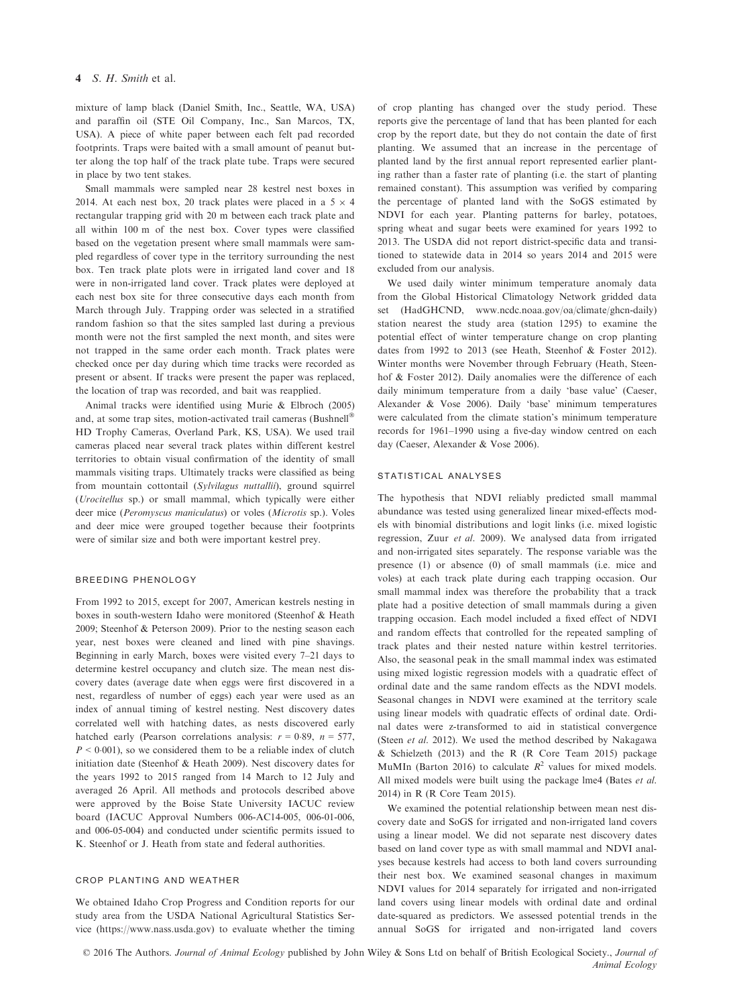# 4 S. H. Smith et al.

mixture of lamp black (Daniel Smith, Inc., Seattle, WA, USA) and paraffin oil (STE Oil Company, Inc., San Marcos, TX, USA). A piece of white paper between each felt pad recorded footprints. Traps were baited with a small amount of peanut butter along the top half of the track plate tube. Traps were secured in place by two tent stakes.

Small mammals were sampled near 28 kestrel nest boxes in 2014. At each nest box, 20 track plates were placed in a  $5 \times 4$ rectangular trapping grid with 20 m between each track plate and all within 100 m of the nest box. Cover types were classified based on the vegetation present where small mammals were sampled regardless of cover type in the territory surrounding the nest box. Ten track plate plots were in irrigated land cover and 18 were in non-irrigated land cover. Track plates were deployed at each nest box site for three consecutive days each month from March through July. Trapping order was selected in a stratified random fashion so that the sites sampled last during a previous month were not the first sampled the next month, and sites were not trapped in the same order each month. Track plates were checked once per day during which time tracks were recorded as present or absent. If tracks were present the paper was replaced, the location of trap was recorded, and bait was reapplied.

Animal tracks were identified using Murie & Elbroch (2005) and, at some trap sites, motion-activated trail cameras (Bushnell HD Trophy Cameras, Overland Park, KS, USA). We used trail cameras placed near several track plates within different kestrel territories to obtain visual confirmation of the identity of small mammals visiting traps. Ultimately tracks were classified as being from mountain cottontail (Sylvilagus nuttallii), ground squirrel (Urocitellus sp.) or small mammal, which typically were either deer mice (Peromyscus maniculatus) or voles (Microtis sp.). Voles and deer mice were grouped together because their footprints were of similar size and both were important kestrel prey.

# breeding phenology

From 1992 to 2015, except for 2007, American kestrels nesting in boxes in south-western Idaho were monitored (Steenhof & Heath 2009; Steenhof & Peterson 2009). Prior to the nesting season each year, nest boxes were cleaned and lined with pine shavings. Beginning in early March, boxes were visited every 7–21 days to determine kestrel occupancy and clutch size. The mean nest discovery dates (average date when eggs were first discovered in a nest, regardless of number of eggs) each year were used as an index of annual timing of kestrel nesting. Nest discovery dates correlated well with hatching dates, as nests discovered early hatched early (Pearson correlations analysis:  $r = 0.89$ ,  $n = 577$ ,  $P < 0.001$ ), so we considered them to be a reliable index of clutch initiation date (Steenhof & Heath 2009). Nest discovery dates for the years 1992 to 2015 ranged from 14 March to 12 July and averaged 26 April. All methods and protocols described above were approved by the Boise State University IACUC review board (IACUC Approval Numbers 006-AC14-005, 006-01-006, and 006-05-004) and conducted under scientific permits issued to K. Steenhof or J. Heath from state and federal authorities.

# crop planting and weather

We obtained Idaho Crop Progress and Condition reports for our study area from the USDA National Agricultural Statistics Service [\(https://www.nass.usda.gov\)](https://www.nass.usda.gov) to evaluate whether the timing of crop planting has changed over the study period. These reports give the percentage of land that has been planted for each crop by the report date, but they do not contain the date of first planting. We assumed that an increase in the percentage of planted land by the first annual report represented earlier planting rather than a faster rate of planting (i.e. the start of planting remained constant). This assumption was verified by comparing the percentage of planted land with the SoGS estimated by NDVI for each year. Planting patterns for barley, potatoes, spring wheat and sugar beets were examined for years 1992 to 2013. The USDA did not report district-specific data and transitioned to statewide data in 2014 so years 2014 and 2015 were excluded from our analysis.

We used daily winter minimum temperature anomaly data from the Global Historical Climatology Network gridded data set (HadGHCND, [www.ncdc.noaa.gov/oa/climate/ghcn-daily](http://www.ncdc.noaa.gov/oa/climate/ghcn-daily)) station nearest the study area (station 1295) to examine the potential effect of winter temperature change on crop planting dates from 1992 to 2013 (see Heath, Steenhof & Foster 2012). Winter months were November through February (Heath, Steenhof & Foster 2012). Daily anomalies were the difference of each daily minimum temperature from a daily 'base value' (Caeser, Alexander & Vose 2006). Daily 'base' minimum temperatures were calculated from the climate station's minimum temperature records for 1961–1990 using a five-day window centred on each day (Caeser, Alexander & Vose 2006).

# statistical analyses

The hypothesis that NDVI reliably predicted small mammal abundance was tested using generalized linear mixed-effects models with binomial distributions and logit links (i.e. mixed logistic regression, Zuur et al. 2009). We analysed data from irrigated and non-irrigated sites separately. The response variable was the presence (1) or absence (0) of small mammals (i.e. mice and voles) at each track plate during each trapping occasion. Our small mammal index was therefore the probability that a track plate had a positive detection of small mammals during a given trapping occasion. Each model included a fixed effect of NDVI and random effects that controlled for the repeated sampling of track plates and their nested nature within kestrel territories. Also, the seasonal peak in the small mammal index was estimated using mixed logistic regression models with a quadratic effect of ordinal date and the same random effects as the NDVI models. Seasonal changes in NDVI were examined at the territory scale using linear models with quadratic effects of ordinal date. Ordinal dates were z-transformed to aid in statistical convergence (Steen *et al.* 2012). We used the method described by Nakagawa & Schielzeth (2013) and the R (R Core Team 2015) package MuMIn (Barton 2016) to calculate  $R^2$  values for mixed models. All mixed models were built using the package lme4 (Bates et al. 2014) in R (R Core Team 2015).

We examined the potential relationship between mean nest discovery date and SoGS for irrigated and non-irrigated land covers using a linear model. We did not separate nest discovery dates based on land cover type as with small mammal and NDVI analyses because kestrels had access to both land covers surrounding their nest box. We examined seasonal changes in maximum NDVI values for 2014 separately for irrigated and non-irrigated land covers using linear models with ordinal date and ordinal date-squared as predictors. We assessed potential trends in the annual SoGS for irrigated and non-irrigated land covers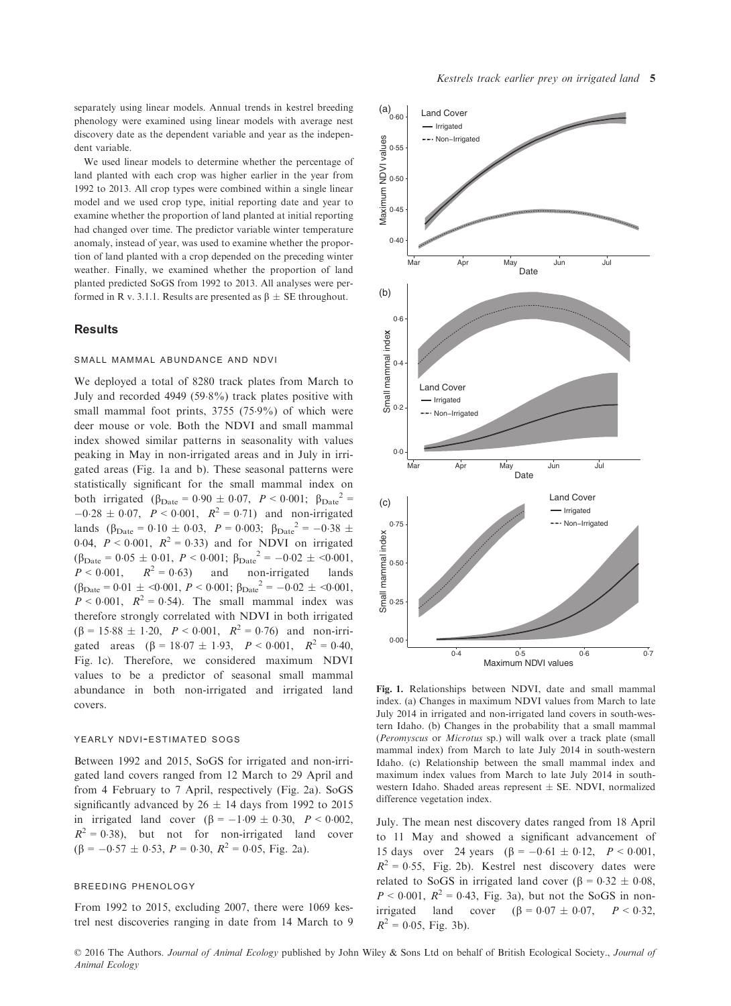separately using linear models. Annual trends in kestrel breeding phenology were examined using linear models with average nest discovery date as the dependent variable and year as the independent variable.

We used linear models to determine whether the percentage of land planted with each crop was higher earlier in the year from 1992 to 2013. All crop types were combined within a single linear model and we used crop type, initial reporting date and year to examine whether the proportion of land planted at initial reporting had changed over time. The predictor variable winter temperature anomaly, instead of year, was used to examine whether the proportion of land planted with a crop depended on the preceding winter weather. Finally, we examined whether the proportion of land planted predicted SoGS from 1992 to 2013. All analyses were performed in R v. 3.1.1. Results are presented as  $\beta \pm SE$  throughout.

# **Results**

#### small mammal abundance and ndvi

We deployed a total of 8280 track plates from March to July and recorded 4949 (598%) track plates positive with small mammal foot prints, 3755 (759%) of which were deer mouse or vole. Both the NDVI and small mammal index showed similar patterns in seasonality with values peaking in May in non-irrigated areas and in July in irrigated areas (Fig. 1a and b). These seasonal patterns were statistically significant for the small mammal index on both irrigated ( $\beta_{\text{Date}} = 0.90 \pm 0.07$ ,  $P < 0.001$ ;  $\beta_{\text{Date}}^2 =$  $-0.28 \pm 0.07$ ,  $P < 0.001$ ,  $R^2 = 0.71$ ) and non-irrigated lands ( $\beta_{\text{Date}} = 0.10 \pm 0.03$ ,  $P = 0.003$ ;  $\beta_{\text{Date}}^2 = -0.38 \pm 0.03$ 0.04,  $P < 0.001$ ,  $R^2 = 0.33$ ) and for NDVI on irrigated  $(\beta_{\text{Date}} = 0.05 \pm 0.01, P < 0.001; \beta_{\text{Date}}^2 = -0.02 \pm <0.001, P < 0.001, R^2 = 0.63)$  and non-irrigated lands  $P < 0.001$ ,  $R^2 = 0.63$ ) and  $(\beta_{\text{Date}} = 0.01 \pm \langle 0.001, P \le 0.001; \beta_{\text{Date}}^2 = -0.02 \pm \langle 0.001, P \rangle)$  $P < 0.001$ ,  $R^2 = 0.54$ ). The small mammal index was therefore strongly correlated with NDVI in both irrigated  $(\beta = 15.88 \pm 1.20, P < 0.001, R^2 = 0.76)$  and non-irrigated areas  $(\beta = 18.07 \pm 1.93, P < 0.001, R^2 = 0.40,$ Fig. 1c). Therefore, we considered maximum NDVI values to be a predictor of seasonal small mammal abundance in both non-irrigated and irrigated land covers.

# YEARLY NDVI-ESTIMATED SOGS

Between 1992 and 2015, SoGS for irrigated and non-irrigated land covers ranged from 12 March to 29 April and from 4 February to 7 April, respectively (Fig. 2a). SoGS significantly advanced by  $26 \pm 14$  days from 1992 to 2015 in irrigated land cover  $(\beta = -1.09 \pm 0.30, P < 0.002,$  $R^2 = 0.38$ ), but not for non-irrigated land cover  $(\beta = -0.57 \pm 0.53, P = 0.30, R^2 = 0.05, Fig. 2a).$ 

#### breeding phenology

From 1992 to 2015, excluding 2007, there were 1069 kestrel nest discoveries ranging in date from 14 March to 9



Fig. 1. Relationships between NDVI, date and small mammal index. (a) Changes in maximum NDVI values from March to late July 2014 in irrigated and non-irrigated land covers in south-western Idaho. (b) Changes in the probability that a small mammal (Peromyscus or Microtus sp.) will walk over a track plate (small mammal index) from March to late July 2014 in south-western Idaho. (c) Relationship between the small mammal index and maximum index values from March to late July 2014 in southwestern Idaho. Shaded areas represent  $\pm$  SE. NDVI, normalized difference vegetation index.

July. The mean nest discovery dates ranged from 18 April to 11 May and showed a significant advancement of 15 days over 24 years  $(\beta = -0.61 \pm 0.12, P < 0.001,$  $R^2 = 0.55$ , Fig. 2b). Kestrel nest discovery dates were related to SoGS in irrigated land cover ( $\beta = 0.32 \pm 0.08$ ,  $P < 0.001$ ,  $R^2 = 0.43$ , Fig. 3a), but not the SoGS in nonirrigated land cover  $(\beta = 0.07 \pm 0.07, P < 0.32,$  $R^2 = 0.05$ , Fig. 3b).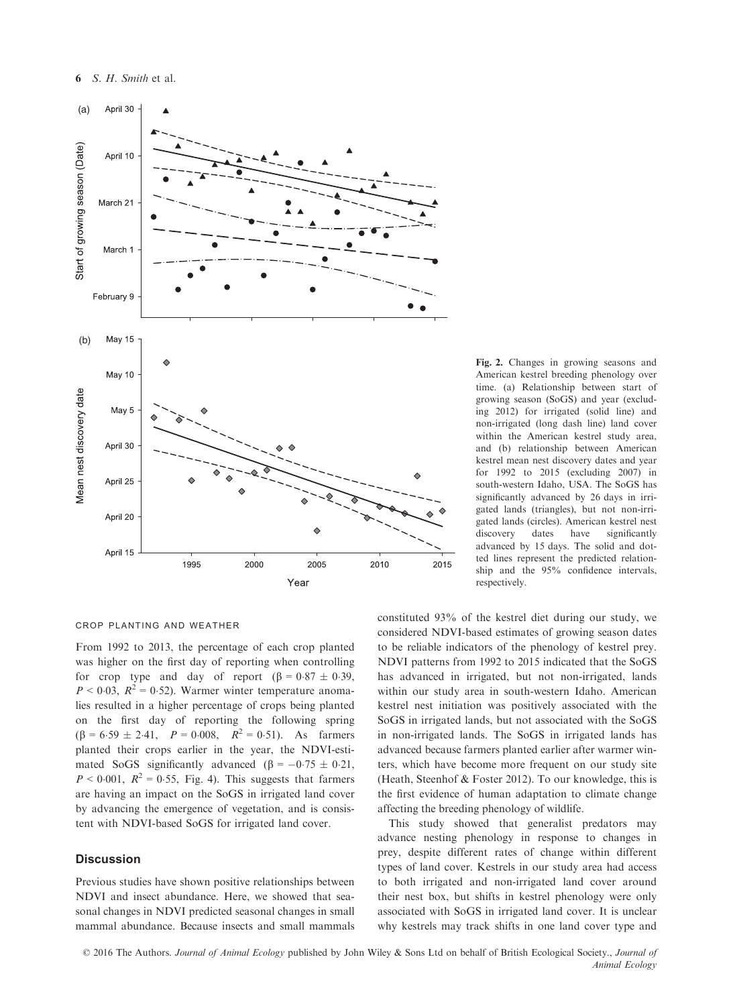

Fig. 2. Changes in growing seasons and American kestrel breeding phenology over time. (a) Relationship between start of growing season (SoGS) and year (excluding 2012) for irrigated (solid line) and non-irrigated (long dash line) land cover within the American kestrel study area, and (b) relationship between American kestrel mean nest discovery dates and year for 1992 to 2015 (excluding 2007) in south-western Idaho, USA. The SoGS has significantly advanced by 26 days in irrigated lands (triangles), but not non-irrigated lands (circles). American kestrel nest discovery dates have significantly advanced by 15 days. The solid and dotted lines represent the predicted relationship and the 95% confidence intervals, respectively.

## crop planting and weather

From 1992 to 2013, the percentage of each crop planted was higher on the first day of reporting when controlling for crop type and day of report  $(\beta = 0.87 \pm 0.39)$ ,  $P < 0.03$ ,  $R^2 = 0.52$ ). Warmer winter temperature anomalies resulted in a higher percentage of crops being planted on the first day of reporting the following spring  $(\beta = 6.59 \pm 2.41, P = 0.008, R^2 = 0.51)$ . As farmers planted their crops earlier in the year, the NDVI-estimated SoGS significantly advanced ( $\beta = -0.75 \pm 0.21$ ,  $P < 0.001$ ,  $R^2 = 0.55$ , Fig. 4). This suggests that farmers are having an impact on the SoGS in irrigated land cover by advancing the emergence of vegetation, and is consistent with NDVI-based SoGS for irrigated land cover.

# **Discussion**

Previous studies have shown positive relationships between NDVI and insect abundance. Here, we showed that seasonal changes in NDVI predicted seasonal changes in small mammal abundance. Because insects and small mammals

constituted 93% of the kestrel diet during our study, we considered NDVI-based estimates of growing season dates to be reliable indicators of the phenology of kestrel prey. NDVI patterns from 1992 to 2015 indicated that the SoGS has advanced in irrigated, but not non-irrigated, lands within our study area in south-western Idaho. American kestrel nest initiation was positively associated with the SoGS in irrigated lands, but not associated with the SoGS in non-irrigated lands. The SoGS in irrigated lands has advanced because farmers planted earlier after warmer winters, which have become more frequent on our study site (Heath, Steenhof & Foster 2012). To our knowledge, this is the first evidence of human adaptation to climate change affecting the breeding phenology of wildlife.

This study showed that generalist predators may advance nesting phenology in response to changes in prey, despite different rates of change within different types of land cover. Kestrels in our study area had access to both irrigated and non-irrigated land cover around their nest box, but shifts in kestrel phenology were only associated with SoGS in irrigated land cover. It is unclear why kestrels may track shifts in one land cover type and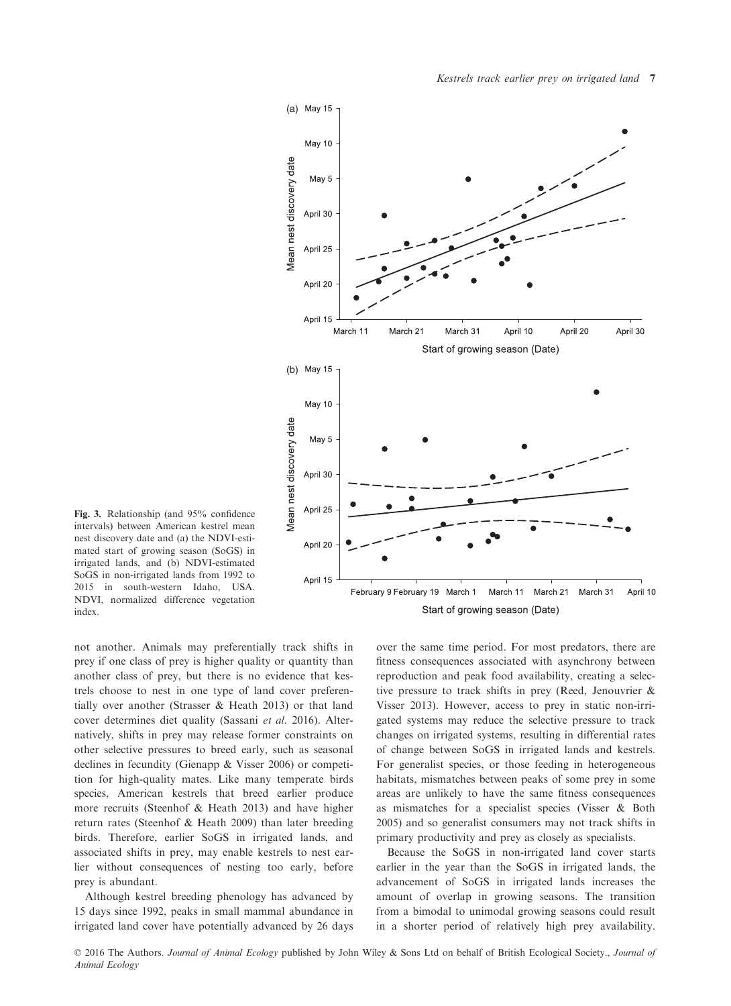

Fig. 3. Relationship (and 95% confidence intervals) between American kestrel mean nest discovery date and (a) the NDVI-estimated start of growing season (SoGS) in irrigated lands, and (b) NDVI-estimated SoGS in non-irrigated lands from 1992 to 2015 in south-western Idaho, USA. NDVI, normalized difference vegetation index.

not another. Animals may preferentially track shifts in prey if one class of prey is higher quality or quantity than another class of prey, but there is no evidence that kestrels choose to nest in one type of land cover preferentially over another (Strasser & Heath 2013) or that land cover determines diet quality (Sassani et al. 2016). Alternatively, shifts in prey may release former constraints on other selective pressures to breed early, such as seasonal declines in fecundity (Gienapp & Visser 2006) or competition for high-quality mates. Like many temperate birds species, American kestrels that breed earlier produce more recruits (Steenhof & Heath 2013) and have higher return rates (Steenhof & Heath 2009) than later breeding birds. Therefore, earlier SoGS in irrigated lands, and associated shifts in prey, may enable kestrels to nest earlier without consequences of nesting too early, before prey is abundant.

Although kestrel breeding phenology has advanced by 15 days since 1992, peaks in small mammal abundance in irrigated land cover have potentially advanced by 26 days

over the same time period. For most predators, there are fitness consequences associated with asynchrony between reproduction and peak food availability, creating a selective pressure to track shifts in prey (Reed, Jenouvrier & Visser 2013). However, access to prey in static non-irrigated systems may reduce the selective pressure to track changes on irrigated systems, resulting in differential rates of change between SoGS in irrigated lands and kestrels. For generalist species, or those feeding in heterogeneous habitats, mismatches between peaks of some prey in some areas are unlikely to have the same fitness consequences as mismatches for a specialist species (Visser & Both 2005) and so generalist consumers may not track shifts in primary productivity and prey as closely as specialists.

Because the SoGS in non-irrigated land cover starts earlier in the year than the SoGS in irrigated lands, the advancement of SoGS in irrigated lands increases the amount of overlap in growing seasons. The transition from a bimodal to unimodal growing seasons could result in a shorter period of relatively high prey availability.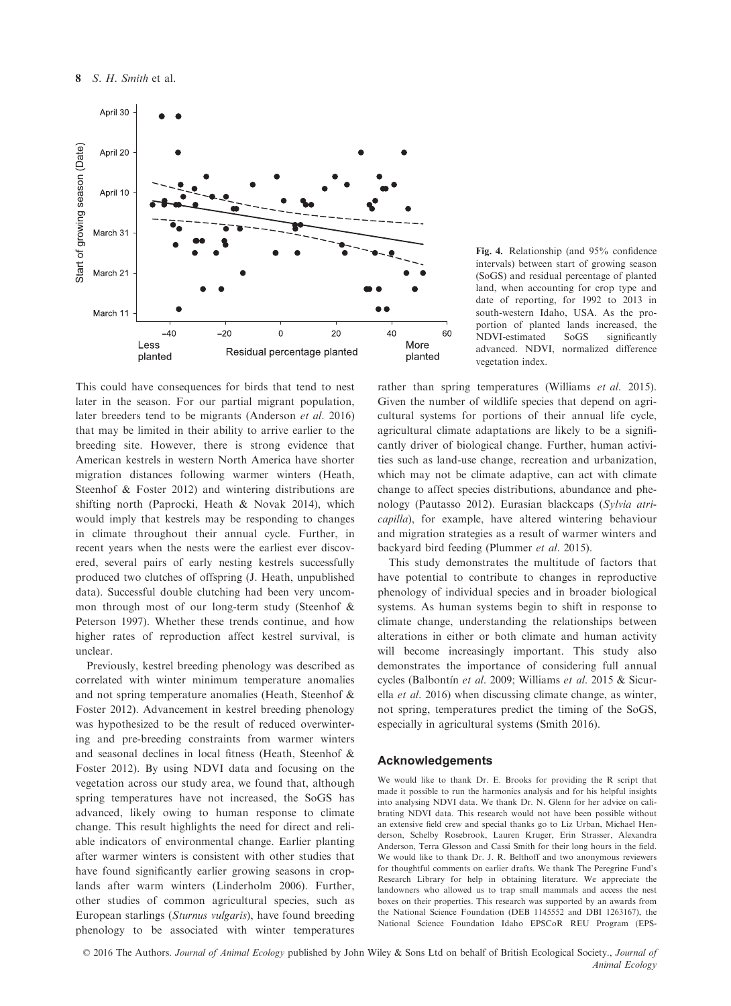

This could have consequences for birds that tend to nest later in the season. For our partial migrant population, later breeders tend to be migrants (Anderson et al. 2016) that may be limited in their ability to arrive earlier to the breeding site. However, there is strong evidence that American kestrels in western North America have shorter migration distances following warmer winters (Heath, Steenhof & Foster 2012) and wintering distributions are shifting north (Paprocki, Heath & Novak 2014), which would imply that kestrels may be responding to changes in climate throughout their annual cycle. Further, in recent years when the nests were the earliest ever discovered, several pairs of early nesting kestrels successfully produced two clutches of offspring (J. Heath, unpublished data). Successful double clutching had been very uncommon through most of our long-term study (Steenhof & Peterson 1997). Whether these trends continue, and how higher rates of reproduction affect kestrel survival, is unclear.

Previously, kestrel breeding phenology was described as correlated with winter minimum temperature anomalies and not spring temperature anomalies (Heath, Steenhof & Foster 2012). Advancement in kestrel breeding phenology was hypothesized to be the result of reduced overwintering and pre-breeding constraints from warmer winters and seasonal declines in local fitness (Heath, Steenhof & Foster 2012). By using NDVI data and focusing on the vegetation across our study area, we found that, although spring temperatures have not increased, the SoGS has advanced, likely owing to human response to climate change. This result highlights the need for direct and reliable indicators of environmental change. Earlier planting after warmer winters is consistent with other studies that have found significantly earlier growing seasons in croplands after warm winters (Linderholm 2006). Further, other studies of common agricultural species, such as European starlings (Sturnus vulgaris), have found breeding phenology to be associated with winter temperatures

Fig. 4. Relationship (and 95% confidence intervals) between start of growing season (SoGS) and residual percentage of planted land, when accounting for crop type and date of reporting, for 1992 to 2013 in south-western Idaho, USA. As the proportion of planted lands increased, the NDVI-estimated SoGS significantly advanced. NDVI, normalized difference vegetation index.

rather than spring temperatures (Williams et al. 2015). Given the number of wildlife species that depend on agricultural systems for portions of their annual life cycle, agricultural climate adaptations are likely to be a significantly driver of biological change. Further, human activities such as land-use change, recreation and urbanization, which may not be climate adaptive, can act with climate change to affect species distributions, abundance and phenology (Pautasso 2012). Eurasian blackcaps (Sylvia atricapilla), for example, have altered wintering behaviour and migration strategies as a result of warmer winters and backyard bird feeding (Plummer et al. 2015).

This study demonstrates the multitude of factors that have potential to contribute to changes in reproductive phenology of individual species and in broader biological systems. As human systems begin to shift in response to climate change, understanding the relationships between alterations in either or both climate and human activity will become increasingly important. This study also demonstrates the importance of considering full annual cycles (Balbontín et al. 2009; Williams et al. 2015 & Sicurella et al. 2016) when discussing climate change, as winter, not spring, temperatures predict the timing of the SoGS, especially in agricultural systems (Smith 2016).

#### Acknowledgements

We would like to thank Dr. E. Brooks for providing the R script that made it possible to run the harmonics analysis and for his helpful insights into analysing NDVI data. We thank Dr. N. Glenn for her advice on calibrating NDVI data. This research would not have been possible without an extensive field crew and special thanks go to Liz Urban, Michael Henderson, Schelby Rosebrook, Lauren Kruger, Erin Strasser, Alexandra Anderson, Terra Glesson and Cassi Smith for their long hours in the field. We would like to thank Dr. J. R. Belthoff and two anonymous reviewers for thoughtful comments on earlier drafts. We thank The Peregrine Fund's Research Library for help in obtaining literature. We appreciate the landowners who allowed us to trap small mammals and access the nest boxes on their properties. This research was supported by an awards from the National Science Foundation (DEB 1145552 and DBI 1263167), the National Science Foundation Idaho EPSCoR REU Program (EPS-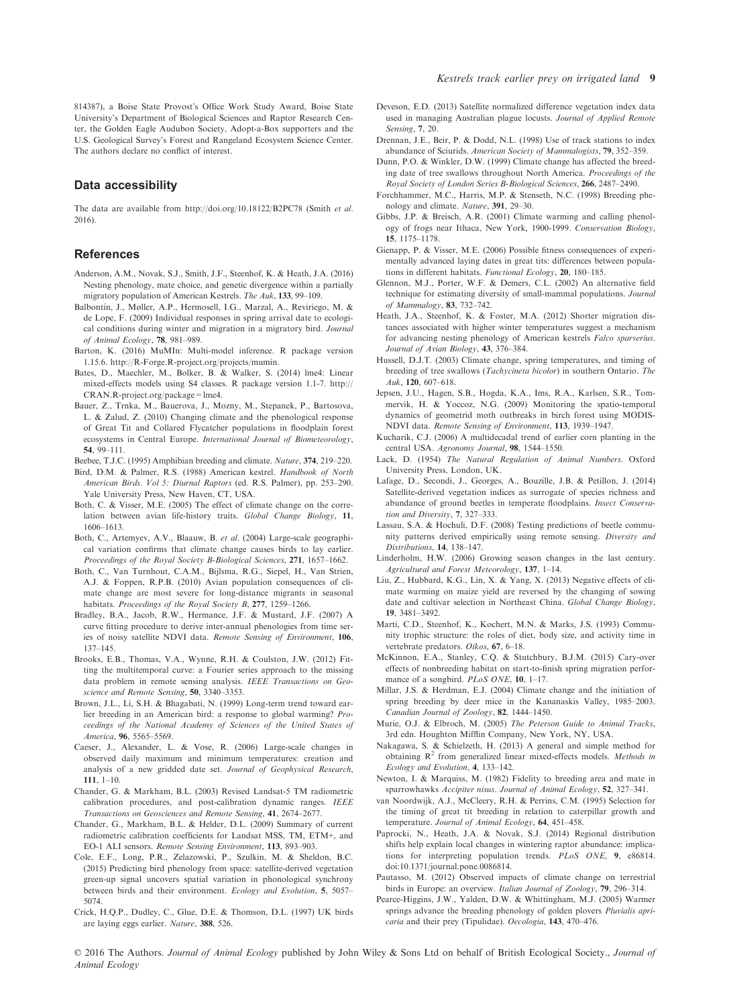## Data accessibility

The data are available from<http://doi.org/10.18122/B2PC78> (Smith et al. 2016).

## **References**

- Anderson, A.M., Novak, S.J., Smith, J.F., Steenhof, K. & Heath, J.A. (2016) Nesting phenology, mate choice, and genetic divergence within a partially migratory population of American Kestrels. The Auk, 133, 99–109.
- Balbontín, J., Møller, A.P., Hermosell, I.G., Marzal, A., Reviriego, M. & de Lope, F. (2009) Individual responses in spring arrival date to ecological conditions during winter and migration in a migratory bird. Journal of Animal Ecology, 78, 981–989.
- Barton, K. (2016) MuMIn: Multi-model inference. R package version 1.15.6. [http://R-Forge.R-project.org/projects/mumin.](http://R-Forge.R-project.org/projects/mumin)
- Bates, D., Maechler, M., Bolker, B. & Walker, S. (2014) lme4: Linear mixed-effects models using S4 classes. R package version 1.1-7. [http://](http://CRAN.R-project.org/package=lme4) [CRAN.R-project.org/package=lme4.](http://CRAN.R-project.org/package=lme4)
- Bauer, Z., Trnka, M., Bauerova, J., Mozny, M., Stepanek, P., Bartosova, L. & Zalud, Z. (2010) Changing climate and the phenological response of Great Tit and Collared Flycatcher populations in floodplain forest ecosystems in Central Europe. International Journal of Biometeorology,
- 54, 99–111.<br>ebee TIC Beebee, T.J.C. (1995) Amphibian breeding and climate. Nature, 374, 219–220.<br>Bird, D.M., & Palmer, B.S. (1988), American kestral, Handbook of North
- Bird, D.M. & Palmer, R.S. (1988) American kestrel. Handbook of North American Birds. Vol 5: Diurnal Raptors (ed. R.S. Palmer), pp. 253–290. Yale University Press, New Haven, CT, USA.
- Both, C. & Visser, M.E. (2005) The effect of climate change on the correlation between avian life-history traits. Global Change Biology, 11, 1606–1613.
- Both, C., Artemyev, A.V., Blaauw, B. et al. (2004) Large-scale geographical variation confirms that climate change causes birds to lay earlier. Proceedings of the Royal Society B-Biological Sciences, 271, 1657–1662.
- Both, C., Van Turnhout, C.A.M., Bijlsma, R.G., Siepel, H., Van Strien, A.J. & Foppen, R.P.B. (2010) Avian population consequences of climate change are most severe for long-distance migrants in seasonal habitats. Proceedings of the Royal Society B, 277, 1259-1266.
- Bradley, B.A., Jacob, R.W., Hermance, J.F. & Mustard, J.F. (2007) A curve fitting procedure to derive inter-annual phenologies from time series of noisy satellite NDVI data. Remote Sensing of Environment, 106. 137–145.
- Brooks, E.B., Thomas, V.A., Wynne, R.H. & Coulston, J.W. (2012) Fitting the multitemporal curve: a Fourier series approach to the missing data problem in remote sensing analysis. IEEE Transactions on Geoscience and Remote Sensing, 50, 3340–3353.
- Brown, J.L., Li, S.H. & Bhagabati, N. (1999) Long-term trend toward earlier breeding in an American bird: a response to global warming? Proceedings of the National Academy of Sciences of the United States of America, 96, 5565–5569.
- Caeser, J., Alexander, L. & Vose, R. (2006) Large-scale changes in observed daily maximum and minimum temperatures: creation and analysis of a new gridded date set. Journal of Geophysical Research, 111, 1–10.
- Chander, G. & Markham, B.L. (2003) Revised Landsat-5 TM radiometric calibration procedures, and post-calibration dynamic ranges. IEEE Transactions on Geosciences and Remote Sensing, 41, 2674–2677.
- Chander, G., Markham, B.L. & Helder, D.L. (2009) Summary of current radiometric calibration coefficients for Landsat MSS, TM, ETM+, and EO-1 ALI sensors. Remote Sensing Environment, 113, 893–903.
- Cole, E.F., Long, P.R., Zelazowski, P., Szulkin, M. & Sheldon, B.C. (2015) Predicting bird phenology from space: satellite-derived vegetation green-up signal uncovers spatial variation in phonological synchrony between birds and their environment. Ecology and Evolution, 5, 5057– 5074.
- Crick, H.Q.P., Dudley, C., Glue, D.E. & Thomson, D.L. (1997) UK birds are laying eggs earlier. Nature, 388, 526.
- Deveson, E.D. (2013) Satellite normalized difference vegetation index data used in managing Australian plague locusts. Journal of Applied Remote
- Sensing, 7, 20. Drennan, J.E., Beir, P. & Dodd, N.L. (1998) Use of track stations to index abundance of Sciurids. American Society of Mammalogists, 79, 352–359.
- Dunn, P.O. & Winkler, D.W. (1999) Climate change has affected the breeding date of tree swallows throughout North America. Proceedings of the Royal Society of London Series B-Biological Sciences, 266, 2487–2490.
- Forchhammer, M.C., Harris, M.P. & Stenseth, N.C. (1998) Breeding phenology and climate. Nature, 391, 29–30.
- Gibbs, J.P. & Breisch, A.R. (2001) Climate warming and calling phenology of frogs near Ithaca, New York, 1900-1999. Conservation Biology,
- 15, 1175–1178. Gienapp, P. & Visser, M.E. (2006) Possible fitness consequences of experimentally advanced laying dates in great tits: differences between populations in different habitats. Functional Ecology, 20, 180–185.
- Glennon, M.J., Porter, W.F. & Demers, C.L. (2002) An alternative field technique for estimating diversity of small-mammal populations. Journal of Mammalogy, 83, 732–742.
- Heath, J.A., Steenhof, K. & Foster, M.A. (2012) Shorter migration distances associated with higher winter temperatures suggest a mechanism for advancing nesting phenology of American kestrels Falco sparverius.
- Journal of Avian Biology, 43, 376–384.<br>Hussell, D.J.T. (2003) Climate change, spring temperatures, and timing of breeding of tree swallows (*Tachycineta bicolor*) in southern Ontario. *The*  $\frac{Auk}{}$  **120** 607–618
- Auk, 120, 607–618. Jepsen, J.U., Hagen, S.B., Hogda, K.A., Ims, R.A., Karlsen, S.R., Tommervik, H. & Yoccoz, N.G. (2009) Monitoring the spatio-temporal dynamics of geometrid moth outbreaks in birch forest using MODIS-NDVI data. Remote Sensing of Environment, 113, 1939–1947.
- Kucharik, C.J. (2006) A multidecadal trend of earlier corn planting in the central USA. Agronomy Journal, 98, 1544–1550.
- Lack, D. (1954) The Natural Regulation of Animal Numbers. Oxford University Press, London, UK.
- Lafage, D., Secondi, J., Georges, A., Bouzille, J.B. & Petillon, J. (2014) Satellite-derived vegetation indices as surrogate of species richness and abundance of ground beetles in temperate floodplains. Insect Conservation and Diversity, 7, 327–333.
- Lassau, S.A. & Hochuli, D.F. (2008) Testing predictions of beetle community patterns derived empirically using remote sensing. Diversity and Distributions, 14, 138–147.
- Linderholm, H.W. (2006) Growing season changes in the last century. Agricultural and Forest Meteorology, 137, 1–14.
- Liu, Z., Hubbard, K.G., Lin, X. & Yang, X. (2013) Negative effects of climate warming on maize yield are reversed by the changing of sowing date and cultivar selection in Northeast China. Global Change Biology, 19, 3481–3492.
- Marti, C.D., Steenhof, K., Kochert, M.N. & Marks, J.S. (1993) Community trophic structure: the roles of diet, body size, and activity time in vertebrate predators. Oikos, 67, 6–18.
- McKinnon, E.A., Stanley, C.Q. & Stutchbury, B.J.M. (2015) Cary-over effects of nonbreeding habitat on start-to-finish spring migration performance of a songbird. PLoS ONE, 10, 1-17.
- Millar, J.S. & Herdman, E.J. (2004) Climate change and the initiation of spring breeding by deer mice in the Kananaskis Valley, 1985–2003. Canadian Journal of Zoology, 82, 1444–1450.
- Murie, O.J. & Elbroch, M. (2005) The Peterson Guide to Animal Tracks, 3rd edn. Houghton Mifflin Company, New York, NY, USA.
- Nakagawa, S. & Schielzeth, H. (2013) A general and simple method for obtaining  $R^2$  from generalized linear mixed-effects models. Methods in Ecology and Evolution, 4, 133–142.
- Newton, I. & Marquiss, M. (1982) Fidelity to breeding area and mate in sparrowhawks Accipiter nisus. Journal of Animal Ecology, 52, 327-341.
- van Noordwijk, A.J., McCleery, R.H. & Perrins, C.M. (1995) Selection for the timing of great tit breeding in relation to caterpillar growth and temperature. Journal of Animal Ecology, 64, 451–458.
- Paprocki, N., Heath, J.A. & Novak, S.J. (2014) Regional distribution shifts help explain local changes in wintering raptor abundance: implications for interpreting population trends. PLoS ONE, 9, e86814. doi:[10.1371/journal.pone.0086814](http://dx.doi.org/10.1371/journal.pone.0086814).
- Pautasso, M. (2012) Observed impacts of climate change on terrestrial birds in Europe: an overview. Italian Journal of Zoology, 79, 296-314.
- Pearce-Higgins, J.W., Yalden, D.W. & Whittingham, M.J. (2005) Warmer springs advance the breeding phenology of golden plovers Pluvialis apricaria and their prey (Tipulidae). Oecologia, 143, 470–476.